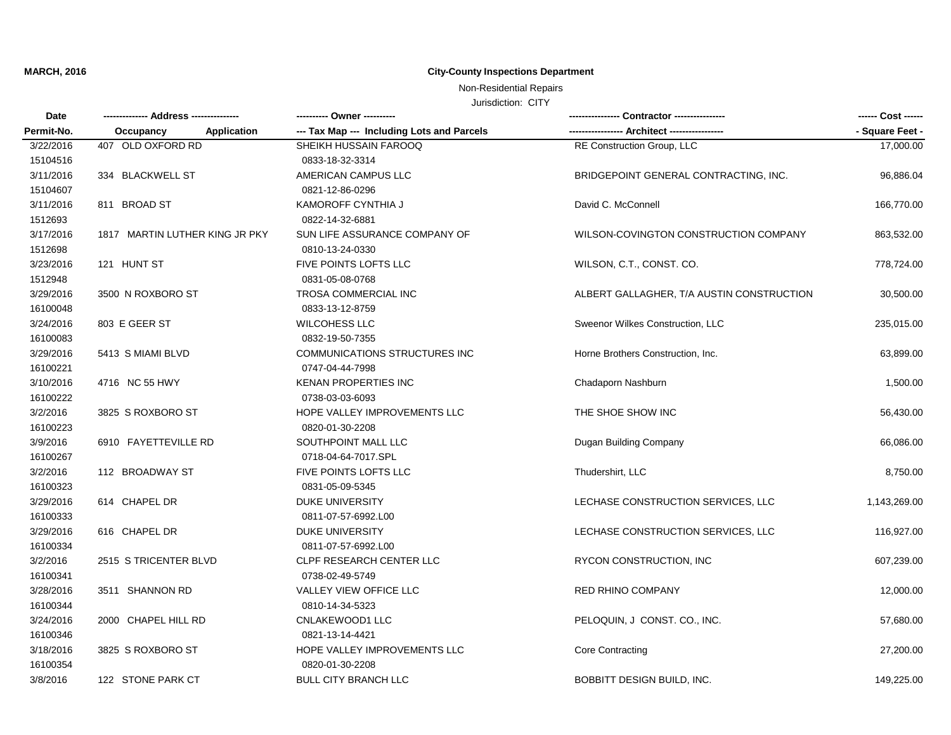## **MARCH, 2016 City-County Inspections Department**

# Non-Residential Repairs

## Jurisdiction: CITY

| Date       |                                 |                                            |                                           | ------ Cost ------ |
|------------|---------------------------------|--------------------------------------------|-------------------------------------------|--------------------|
| Permit-No. | Occupancy<br><b>Application</b> | --- Tax Map --- Including Lots and Parcels | ---- Architect --------                   | - Square Feet -    |
| 3/22/2016  | 407 OLD OXFORD RD               | SHEIKH HUSSAIN FAROOQ                      | RE Construction Group, LLC                | 17,000.00          |
| 15104516   |                                 | 0833-18-32-3314                            |                                           |                    |
| 3/11/2016  | 334 BLACKWELL ST                | AMERICAN CAMPUS LLC                        | BRIDGEPOINT GENERAL CONTRACTING, INC.     | 96,886.04          |
| 15104607   |                                 | 0821-12-86-0296                            |                                           |                    |
| 3/11/2016  | 811 BROAD ST                    | KAMOROFF CYNTHIA J                         | David C. McConnell                        | 166,770.00         |
| 1512693    |                                 | 0822-14-32-6881                            |                                           |                    |
| 3/17/2016  | 1817 MARTIN LUTHER KING JR PKY  | SUN LIFE ASSURANCE COMPANY OF              | WILSON-COVINGTON CONSTRUCTION COMPANY     | 863,532.00         |
| 1512698    |                                 | 0810-13-24-0330                            |                                           |                    |
| 3/23/2016  | 121 HUNT ST                     | FIVE POINTS LOFTS LLC                      | WILSON, C.T., CONST. CO.                  | 778,724.00         |
| 1512948    |                                 | 0831-05-08-0768                            |                                           |                    |
| 3/29/2016  | 3500 N ROXBORO ST               | TROSA COMMERCIAL INC                       | ALBERT GALLAGHER, T/A AUSTIN CONSTRUCTION | 30,500.00          |
| 16100048   |                                 | 0833-13-12-8759                            |                                           |                    |
| 3/24/2016  | 803 E GEER ST                   | WILCOHESS LLC                              | Sweenor Wilkes Construction, LLC          | 235,015.00         |
| 16100083   |                                 | 0832-19-50-7355                            |                                           |                    |
| 3/29/2016  | 5413 S MIAMI BLVD               | COMMUNICATIONS STRUCTURES INC              | Horne Brothers Construction, Inc.         | 63,899.00          |
| 16100221   |                                 | 0747-04-44-7998                            |                                           |                    |
| 3/10/2016  | 4716 NC 55 HWY                  | KENAN PROPERTIES INC                       | Chadaporn Nashburn                        | 1,500.00           |
| 16100222   |                                 | 0738-03-03-6093                            |                                           |                    |
| 3/2/2016   | 3825 S ROXBORO ST               | HOPE VALLEY IMPROVEMENTS LLC               | THE SHOE SHOW INC                         | 56,430.00          |
| 16100223   |                                 | 0820-01-30-2208                            |                                           |                    |
| 3/9/2016   | 6910 FAYETTEVILLE RD            | SOUTHPOINT MALL LLC                        | Dugan Building Company                    | 66,086.00          |
| 16100267   |                                 | 0718-04-64-7017.SPL                        |                                           |                    |
| 3/2/2016   | 112 BROADWAY ST                 | FIVE POINTS LOFTS LLC                      | Thudershirt, LLC                          | 8,750.00           |
| 16100323   |                                 | 0831-05-09-5345                            |                                           |                    |
| 3/29/2016  | 614 CHAPEL DR                   | <b>DUKE UNIVERSITY</b>                     | LECHASE CONSTRUCTION SERVICES, LLC        | 1,143,269.00       |
| 16100333   |                                 | 0811-07-57-6992.L00                        |                                           |                    |
| 3/29/2016  | 616 CHAPEL DR                   | <b>DUKE UNIVERSITY</b>                     | LECHASE CONSTRUCTION SERVICES, LLC        | 116,927.00         |
| 16100334   |                                 | 0811-07-57-6992.L00                        |                                           |                    |
| 3/2/2016   | 2515 S TRICENTER BLVD           | CLPF RESEARCH CENTER LLC                   | RYCON CONSTRUCTION, INC                   | 607,239.00         |
| 16100341   |                                 | 0738-02-49-5749                            |                                           |                    |
| 3/28/2016  | 3511 SHANNON RD                 | VALLEY VIEW OFFICE LLC                     | <b>RED RHINO COMPANY</b>                  | 12,000.00          |
| 16100344   |                                 | 0810-14-34-5323                            |                                           |                    |
| 3/24/2016  | 2000 CHAPEL HILL RD             | CNLAKEWOOD1 LLC                            | PELOQUIN, J CONST. CO., INC.              | 57,680.00          |
| 16100346   |                                 | 0821-13-14-4421                            |                                           |                    |
| 3/18/2016  | 3825 S ROXBORO ST               | HOPE VALLEY IMPROVEMENTS LLC               | <b>Core Contracting</b>                   | 27,200.00          |
| 16100354   |                                 | 0820-01-30-2208                            |                                           |                    |
| 3/8/2016   | 122 STONE PARK CT               | BULL CITY BRANCH LLC                       | BOBBITT DESIGN BUILD, INC.                | 149,225.00         |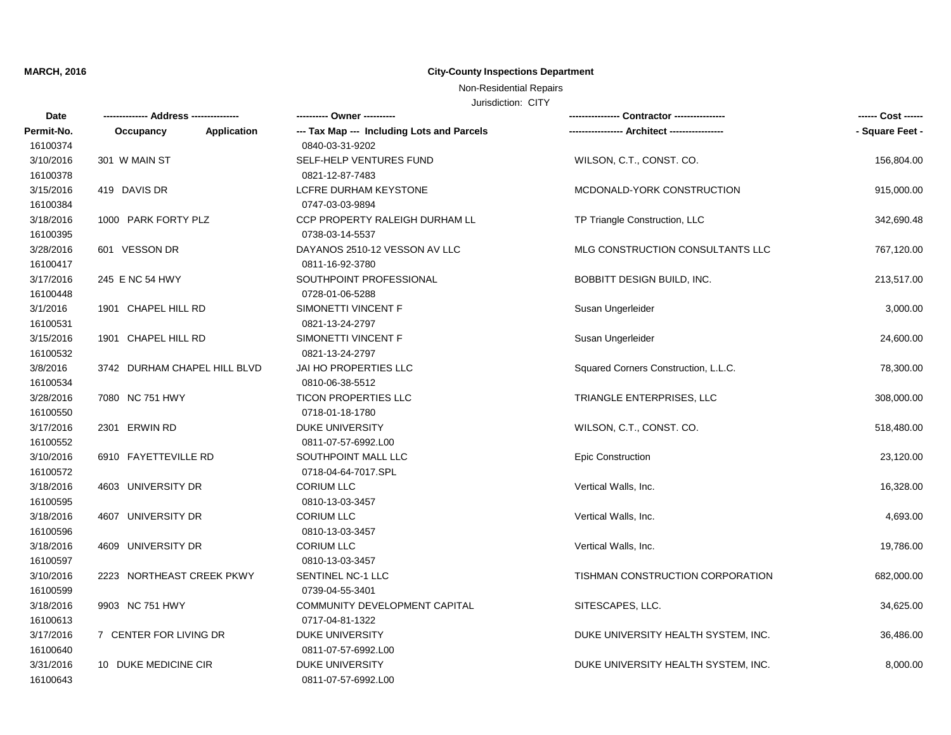## **MARCH, 2016 City-County Inspections Department**

## Non-Residential Repairs

### Jurisdiction: CITY

| Date                  |                              | --------- Owner ----------                                    |                                      | ------ Cost ------ |
|-----------------------|------------------------------|---------------------------------------------------------------|--------------------------------------|--------------------|
| Permit-No.            | Application<br>Occupancy     | --- Tax Map --- Including Lots and Parcels<br>0840-03-31-9202 |                                      | - Square Feet -    |
| 16100374              | 301 W MAIN ST                |                                                               | WILSON, C.T., CONST. CO.             |                    |
| 3/10/2016<br>16100378 |                              | SELF-HELP VENTURES FUND<br>0821-12-87-7483                    |                                      | 156,804.00         |
| 3/15/2016             | 419 DAVIS DR                 | LCFRE DURHAM KEYSTONE                                         | MCDONALD-YORK CONSTRUCTION           | 915,000.00         |
| 16100384              |                              | 0747-03-03-9894                                               |                                      |                    |
| 3/18/2016             | 1000 PARK FORTY PLZ          | CCP PROPERTY RALEIGH DURHAM LL                                | TP Triangle Construction, LLC        | 342,690.48         |
| 16100395              |                              | 0738-03-14-5537                                               |                                      |                    |
| 3/28/2016             | 601 VESSON DR                | DAYANOS 2510-12 VESSON AV LLC                                 | MLG CONSTRUCTION CONSULTANTS LLC     | 767,120.00         |
| 16100417              |                              | 0811-16-92-3780                                               |                                      |                    |
| 3/17/2016             | 245 E NC 54 HWY              | SOUTHPOINT PROFESSIONAL                                       | BOBBITT DESIGN BUILD, INC.           | 213,517.00         |
| 16100448              |                              | 0728-01-06-5288                                               |                                      |                    |
| 3/1/2016              | 1901 CHAPEL HILL RD          | SIMONETTI VINCENT F                                           | Susan Ungerleider                    | 3,000.00           |
| 16100531              |                              | 0821-13-24-2797                                               |                                      |                    |
| 3/15/2016             | 1901 CHAPEL HILL RD          | SIMONETTI VINCENT F                                           | Susan Ungerleider                    | 24,600.00          |
| 16100532              |                              | 0821-13-24-2797                                               |                                      |                    |
| 3/8/2016              | 3742 DURHAM CHAPEL HILL BLVD | <b>JAI HO PROPERTIES LLC</b>                                  | Squared Corners Construction, L.L.C. | 78,300.00          |
| 16100534              |                              | 0810-06-38-5512                                               |                                      |                    |
| 3/28/2016             | 7080 NC 751 HWY              | <b>TICON PROPERTIES LLC</b>                                   | TRIANGLE ENTERPRISES, LLC            | 308,000.00         |
| 16100550              |                              | 0718-01-18-1780                                               |                                      |                    |
| 3/17/2016             | 2301 ERWIN RD                | <b>DUKE UNIVERSITY</b>                                        | WILSON, C.T., CONST. CO.             | 518,480.00         |
| 16100552              |                              | 0811-07-57-6992.L00                                           |                                      |                    |
| 3/10/2016             | 6910 FAYETTEVILLE RD         | SOUTHPOINT MALL LLC                                           | Epic Construction                    | 23,120.00          |
| 16100572              |                              | 0718-04-64-7017.SPL                                           |                                      |                    |
| 3/18/2016             | 4603 UNIVERSITY DR           | <b>CORIUM LLC</b>                                             | Vertical Walls, Inc.                 | 16,328.00          |
| 16100595              |                              | 0810-13-03-3457                                               |                                      |                    |
| 3/18/2016             | 4607 UNIVERSITY DR           | <b>CORIUM LLC</b>                                             | Vertical Walls, Inc.                 | 4,693.00           |
| 16100596              |                              | 0810-13-03-3457                                               |                                      |                    |
| 3/18/2016             | 4609 UNIVERSITY DR           | <b>CORIUM LLC</b>                                             | Vertical Walls, Inc.                 | 19,786.00          |
| 16100597              |                              | 0810-13-03-3457                                               |                                      |                    |
| 3/10/2016             | 2223 NORTHEAST CREEK PKWY    | SENTINEL NC-1 LLC                                             | TISHMAN CONSTRUCTION CORPORATION     | 682,000.00         |
| 16100599              |                              | 0739-04-55-3401                                               |                                      |                    |
| 3/18/2016             | 9903 NC 751 HWY              | COMMUNITY DEVELOPMENT CAPITAL                                 | SITESCAPES, LLC.                     | 34,625.00          |
| 16100613              |                              | 0717-04-81-1322                                               |                                      |                    |
| 3/17/2016             | 7 CENTER FOR LIVING DR       | <b>DUKE UNIVERSITY</b>                                        | DUKE UNIVERSITY HEALTH SYSTEM, INC.  | 36,486.00          |
| 16100640              |                              | 0811-07-57-6992.L00                                           |                                      |                    |
| 3/31/2016             | 10 DUKE MEDICINE CIR         | <b>DUKE UNIVERSITY</b>                                        | DUKE UNIVERSITY HEALTH SYSTEM, INC.  | 8,000.00           |
| 16100643              |                              | 0811-07-57-6992.L00                                           |                                      |                    |